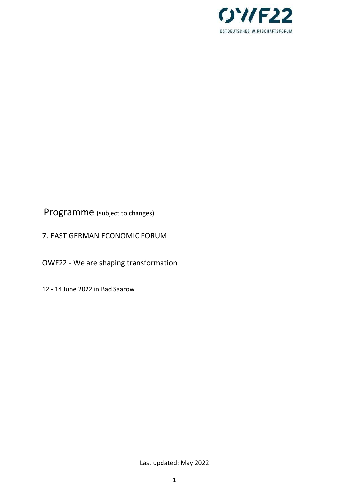

Programme (subject to changes)

7. EAST GERMAN ECONOMIC FORUM

OWF22 - We are shaping transformation

12 - 14 June 2022 in Bad Saarow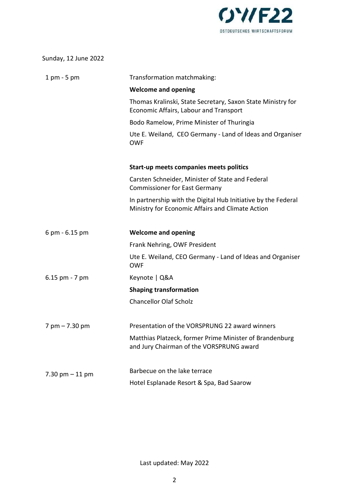

| Sunday, 12 June 2022 |  |  |  |
|----------------------|--|--|--|
|----------------------|--|--|--|

| $1 \text{ pm} - 5 \text{ pm}$ | Transformation matchmaking:                                                                                       |
|-------------------------------|-------------------------------------------------------------------------------------------------------------------|
|                               | <b>Welcome and opening</b>                                                                                        |
|                               | Thomas Kralinski, State Secretary, Saxon State Ministry for<br><b>Economic Affairs, Labour and Transport</b>      |
|                               | Bodo Ramelow, Prime Minister of Thuringia                                                                         |
|                               | Ute E. Weiland, CEO Germany - Land of Ideas and Organiser<br><b>OWF</b>                                           |
|                               | Start-up meets companies meets politics                                                                           |
|                               | Carsten Schneider, Minister of State and Federal<br><b>Commissioner for East Germany</b>                          |
|                               | In partnership with the Digital Hub Initiative by the Federal<br>Ministry for Economic Affairs and Climate Action |
| 6 pm - 6.15 pm                | <b>Welcome and opening</b>                                                                                        |
|                               | Frank Nehring, OWF President                                                                                      |
|                               | Ute E. Weiland, CEO Germany - Land of Ideas and Organiser<br><b>OWF</b>                                           |
| $6.15$ pm $-7$ pm             | Keynote   Q&A                                                                                                     |
|                               | <b>Shaping transformation</b>                                                                                     |
|                               | <b>Chancellor Olaf Scholz</b>                                                                                     |
| $7$ pm $- 7.30$ pm            | Presentation of the VORSPRUNG 22 award winners                                                                    |
|                               | Matthias Platzeck, former Prime Minister of Brandenburg<br>and Jury Chairman of the VORSPRUNG award               |
| $7.30$ pm $-11$ pm            | Barbecue on the lake terrace                                                                                      |
|                               | Hotel Esplanade Resort & Spa, Bad Saarow                                                                          |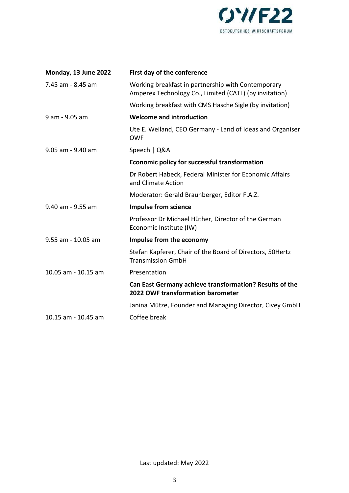

| Monday, 13 June 2022 | First day of the conference                                                                                  |
|----------------------|--------------------------------------------------------------------------------------------------------------|
| 7.45 am - 8.45 am    | Working breakfast in partnership with Contemporary<br>Amperex Technology Co., Limited (CATL) (by invitation) |
|                      | Working breakfast with CMS Hasche Sigle (by invitation)                                                      |
| 9 am - 9.05 am       | <b>Welcome and introduction</b>                                                                              |
|                      | Ute E. Weiland, CEO Germany - Land of Ideas and Organiser<br><b>OWF</b>                                      |
| 9.05 am - 9.40 am    | Speech   Q&A                                                                                                 |
|                      | <b>Economic policy for successful transformation</b>                                                         |
|                      | Dr Robert Habeck, Federal Minister for Economic Affairs<br>and Climate Action                                |
|                      | Moderator: Gerald Braunberger, Editor F.A.Z.                                                                 |
| 9.40 am - 9.55 am    | <b>Impulse from science</b>                                                                                  |
|                      | Professor Dr Michael Hüther, Director of the German<br>Economic Institute (IW)                               |
| 9.55 am - 10.05 am   | Impulse from the economy                                                                                     |
|                      | Stefan Kapferer, Chair of the Board of Directors, 50Hertz<br><b>Transmission GmbH</b>                        |
| 10.05 am - 10.15 am  | Presentation                                                                                                 |
|                      | Can East Germany achieve transformation? Results of the<br>2022 OWF transformation barometer                 |
|                      | Janina Mütze, Founder and Managing Director, Civey GmbH                                                      |
| 10.15 am - 10.45 am  | Coffee break                                                                                                 |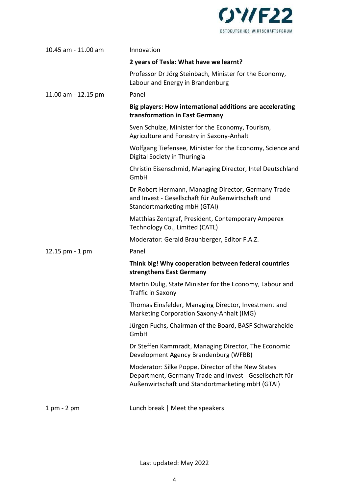

| 10.45 am - 11.00 am           | Innovation                                                                                                                                                        |
|-------------------------------|-------------------------------------------------------------------------------------------------------------------------------------------------------------------|
|                               | 2 years of Tesla: What have we learnt?                                                                                                                            |
|                               | Professor Dr Jörg Steinbach, Minister for the Economy,<br>Labour and Energy in Brandenburg                                                                        |
| 11.00 am - 12.15 pm           | Panel                                                                                                                                                             |
|                               | Big players: How international additions are accelerating<br>transformation in East Germany                                                                       |
|                               | Sven Schulze, Minister for the Economy, Tourism,<br>Agriculture and Forestry in Saxony-Anhalt                                                                     |
|                               | Wolfgang Tiefensee, Minister for the Economy, Science and<br>Digital Society in Thuringia                                                                         |
|                               | Christin Eisenschmid, Managing Director, Intel Deutschland<br>GmbH                                                                                                |
|                               | Dr Robert Hermann, Managing Director, Germany Trade<br>and Invest - Gesellschaft für Außenwirtschaft und<br>Standortmarketing mbH (GTAI)                          |
|                               | Matthias Zentgraf, President, Contemporary Amperex<br>Technology Co., Limited (CATL)                                                                              |
|                               | Moderator: Gerald Braunberger, Editor F.A.Z.                                                                                                                      |
| 12.15 pm - 1 pm               | Panel                                                                                                                                                             |
|                               | Think big! Why cooperation between federal countries<br>strengthens East Germany                                                                                  |
|                               | Martin Dulig, State Minister for the Economy, Labour and<br>Traffic in Saxony                                                                                     |
|                               | Thomas Einsfelder, Managing Director, Investment and<br>Marketing Corporation Saxony-Anhalt (IMG)                                                                 |
|                               | Jürgen Fuchs, Chairman of the Board, BASF Schwarzheide<br>GmbH                                                                                                    |
|                               | Dr Steffen Kammradt, Managing Director, The Economic<br>Development Agency Brandenburg (WFBB)                                                                     |
|                               | Moderator: Silke Poppe, Director of the New States<br>Department, Germany Trade and Invest - Gesellschaft für<br>Außenwirtschaft und Standortmarketing mbH (GTAI) |
| $1 \text{ pm} - 2 \text{ pm}$ | Lunch break   Meet the speakers                                                                                                                                   |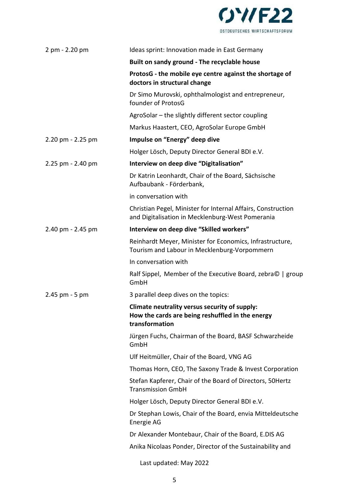

| 2 pm - 2.20 pm    | Ideas sprint: Innovation made in East Germany                                                                       |
|-------------------|---------------------------------------------------------------------------------------------------------------------|
|                   | Built on sandy ground - The recyclable house                                                                        |
|                   | ProtosG - the mobile eye centre against the shortage of<br>doctors in structural change                             |
|                   | Dr Simo Murovski, ophthalmologist and entrepreneur,<br>founder of ProtosG                                           |
|                   | AgroSolar - the slightly different sector coupling                                                                  |
|                   | Markus Haastert, CEO, AgroSolar Europe GmbH                                                                         |
| 2.20 pm - 2.25 pm | Impulse on "Energy" deep dive                                                                                       |
|                   | Holger Lösch, Deputy Director General BDI e.V.                                                                      |
| 2.25 pm - 2.40 pm | Interview on deep dive "Digitalisation"                                                                             |
|                   | Dr Katrin Leonhardt, Chair of the Board, Sächsische<br>Aufbaubank - Förderbank,                                     |
|                   | in conversation with                                                                                                |
|                   | Christian Pegel, Minister for Internal Affairs, Construction<br>and Digitalisation in Mecklenburg-West Pomerania    |
| 2.40 pm - 2.45 pm | Interview on deep dive "Skilled workers"                                                                            |
|                   | Reinhardt Meyer, Minister for Economics, Infrastructure,<br>Tourism and Labour in Mecklenburg-Vorpommern            |
|                   | In conversation with                                                                                                |
|                   | Ralf Sippel, Member of the Executive Board, zebra©   group<br>GmbH                                                  |
| $2.45$ pm $-5$ pm | 3 parallel deep dives on the topics:                                                                                |
|                   | Climate neutrality versus security of supply:<br>How the cards are being reshuffled in the energy<br>transformation |
|                   | Jürgen Fuchs, Chairman of the Board, BASF Schwarzheide<br>GmbH                                                      |
|                   | Ulf Heitmüller, Chair of the Board, VNG AG                                                                          |
|                   | Thomas Horn, CEO, The Saxony Trade & Invest Corporation                                                             |
|                   | Stefan Kapferer, Chair of the Board of Directors, 50Hertz<br><b>Transmission GmbH</b>                               |
|                   | Holger Lösch, Deputy Director General BDI e.V.                                                                      |
|                   | Dr Stephan Lowis, Chair of the Board, envia Mitteldeutsche<br>Energie AG                                            |
|                   | Dr Alexander Montebaur, Chair of the Board, E.DIS AG                                                                |
|                   | Anika Nicolaas Ponder, Director of the Sustainability and                                                           |
|                   | Last updated: May 2022                                                                                              |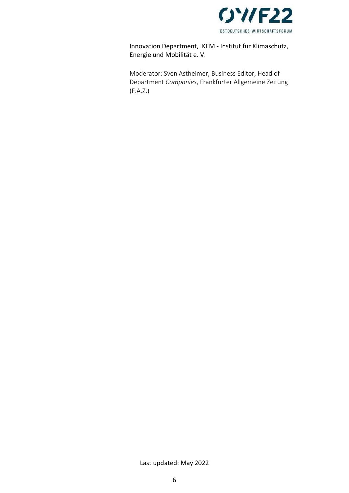

# Innovation Department, IKEM - Institut für Klimaschutz, Energie und Mobilität e. V.

Moderator: Sven Astheimer, Business Editor, Head of Department Companies, Frankfurter Allgemeine Zeitung (F.A.Z.)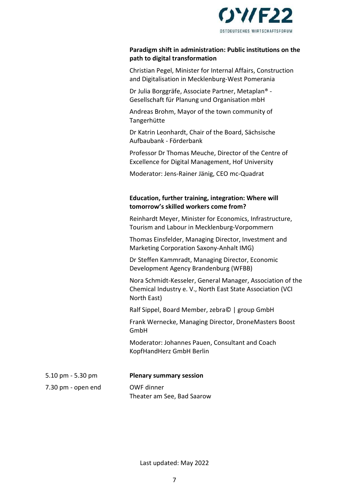

#### Paradigm shift in administration: Public institutions on the path to digital transformation

Christian Pegel, Minister for Internal Affairs, Construction and Digitalisation in Mecklenburg-West Pomerania

Dr Julia Borggräfe, Associate Partner, Metaplan® - Gesellschaft für Planung und Organisation mbH

Andreas Brohm, Mayor of the town community of Tangerhütte

Dr Katrin Leonhardt, Chair of the Board, Sächsische Aufbaubank - Förderbank

Professor Dr Thomas Meuche, Director of the Centre of Excellence for Digital Management, Hof University

Moderator: Jens-Rainer Jänig, CEO mc-Quadrat

## Education, further training, integration: Where will tomorrow's skilled workers come from?

Reinhardt Meyer, Minister for Economics, Infrastructure, Tourism and Labour in Mecklenburg-Vorpommern

Thomas Einsfelder, Managing Director, Investment and Marketing Corporation Saxony-Anhalt IMG)

Dr Steffen Kammradt, Managing Director, Economic Development Agency Brandenburg (WFBB)

Nora Schmidt-Kesseler, General Manager, Association of the Chemical Industry e. V., North East State Association (VCI North East)

Ralf Sippel, Board Member, zebra© | group GmbH

Frank Wernecke, Managing Director, DroneMasters Boost GmbH

Moderator: Johannes Pauen, Consultant and Coach KopfHandHerz GmbH Berlin

| $5.10 \text{ pm}$ - 5.30 pm | <b>Plenary summary session</b>           |
|-----------------------------|------------------------------------------|
| 7.30 pm - open end          | OWF dinner<br>Theater am See, Bad Saarow |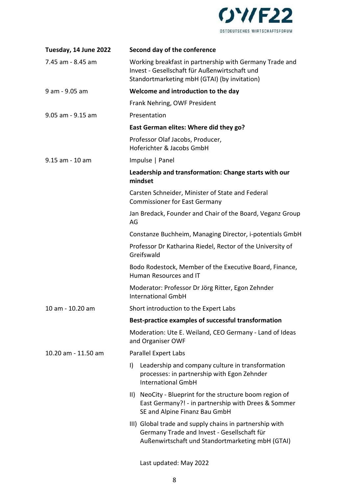

| Tuesday, 14 June 2022 | Second day of the conference                                                                                                                               |
|-----------------------|------------------------------------------------------------------------------------------------------------------------------------------------------------|
| 7.45 am - 8.45 am     | Working breakfast in partnership with Germany Trade and<br>Invest - Gesellschaft für Außenwirtschaft und<br>Standortmarketing mbH (GTAI) (by invitation)   |
| 9 am - 9.05 am        | Welcome and introduction to the day                                                                                                                        |
|                       | Frank Nehring, OWF President                                                                                                                               |
| 9.05 am - 9.15 am     | Presentation                                                                                                                                               |
|                       | East German elites: Where did they go?                                                                                                                     |
|                       | Professor Olaf Jacobs, Producer,<br>Hoferichter & Jacobs GmbH                                                                                              |
| 9.15 am - 10 am       | Impulse   Panel                                                                                                                                            |
|                       | Leadership and transformation: Change starts with our<br>mindset                                                                                           |
|                       | Carsten Schneider, Minister of State and Federal<br><b>Commissioner for East Germany</b>                                                                   |
|                       | Jan Bredack, Founder and Chair of the Board, Veganz Group<br>AG                                                                                            |
|                       | Constanze Buchheim, Managing Director, i-potentials GmbH                                                                                                   |
|                       | Professor Dr Katharina Riedel, Rector of the University of<br>Greifswald                                                                                   |
|                       | Bodo Rodestock, Member of the Executive Board, Finance,<br>Human Resources and IT                                                                          |
|                       | Moderator: Professor Dr Jörg Ritter, Egon Zehnder<br><b>International GmbH</b>                                                                             |
| 10 am - 10.20 am      | Short introduction to the Expert Labs                                                                                                                      |
|                       | Best-practice examples of successful transformation                                                                                                        |
|                       | Moderation: Ute E. Weiland, CEO Germany - Land of Ideas<br>and Organiser OWF                                                                               |
| 10.20 am - 11.50 am   | <b>Parallel Expert Labs</b>                                                                                                                                |
|                       | Leadership and company culture in transformation<br>$\vert$<br>processes: in partnership with Egon Zehnder<br><b>International GmbH</b>                    |
|                       | II) NeoCity - Blueprint for the structure boom region of<br>East Germany?! - in partnership with Drees & Sommer<br>SE and Alpine Finanz Bau GmbH           |
|                       | III) Global trade and supply chains in partnership with<br>Germany Trade and Invest - Gesellschaft für<br>Außenwirtschaft und Standortmarketing mbH (GTAI) |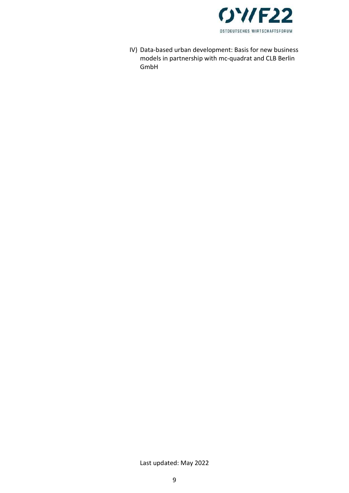

IV) Data-based urban development: Basis for new business models in partnership with mc-quadrat and CLB Berlin GmbH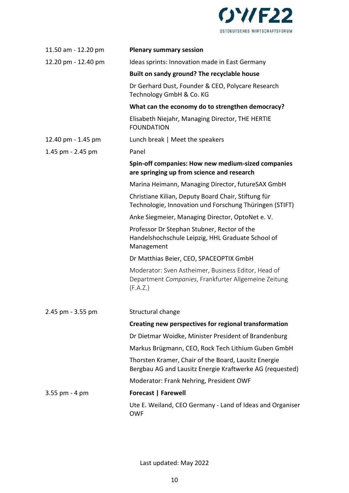

| 11.50 am - 12.20 pm | <b>Plenary summary session</b>                                                                                          |
|---------------------|-------------------------------------------------------------------------------------------------------------------------|
| 12.20 pm - 12.40 pm | Ideas sprints: Innovation made in East Germany                                                                          |
|                     | Built on sandy ground? The recyclable house                                                                             |
|                     | Dr Gerhard Dust, Founder & CEO, Polycare Research<br>Technology GmbH & Co. KG                                           |
|                     | What can the economy do to strengthen democracy?                                                                        |
|                     | Elisabeth Niejahr, Managing Director, THE HERTIE<br><b>FOUNDATION</b>                                                   |
| 12.40 pm - 1.45 pm  | Lunch break   Meet the speakers                                                                                         |
| 1.45 pm - 2.45 pm   | Panel                                                                                                                   |
|                     | Spin-off companies: How new medium-sized companies<br>are springing up from science and research                        |
|                     | Marina Heimann, Managing Director, futureSAX GmbH                                                                       |
|                     | Christiane Kilian, Deputy Board Chair, Stiftung für<br>Technologie, Innovation und Forschung Thüringen (STIFT)          |
|                     | Anke Siegmeier, Managing Director, OptoNet e.V.                                                                         |
|                     | Professor Dr Stephan Stubner, Rector of the<br>Handelshochschule Leipzig, HHL Graduate School of<br>Management          |
|                     | Dr Matthias Beier, CEO, SPACEOPTIX GmbH                                                                                 |
|                     | Moderator: Sven Astheimer, Business Editor, Head of<br>Department Companies, Frankfurter Allgemeine Zeitung<br>(F.A.Z.) |
| 2.45 pm - 3.55 pm   | Structural change                                                                                                       |
|                     | Creating new perspectives for regional transformation                                                                   |
|                     | Dr Dietmar Woidke, Minister President of Brandenburg                                                                    |
|                     | Markus Brügmann, CEO, Rock Tech Lithium Guben GmbH                                                                      |
|                     | Thorsten Kramer, Chair of the Board, Lausitz Energie<br>Bergbau AG and Lausitz Energie Kraftwerke AG (requested)        |
|                     | Moderator: Frank Nehring, President OWF                                                                                 |
| $3.55$ pm - 4 pm    | <b>Forecast   Farewell</b>                                                                                              |
|                     | Ute E. Weiland, CEO Germany - Land of Ideas and Organiser<br><b>OWF</b>                                                 |